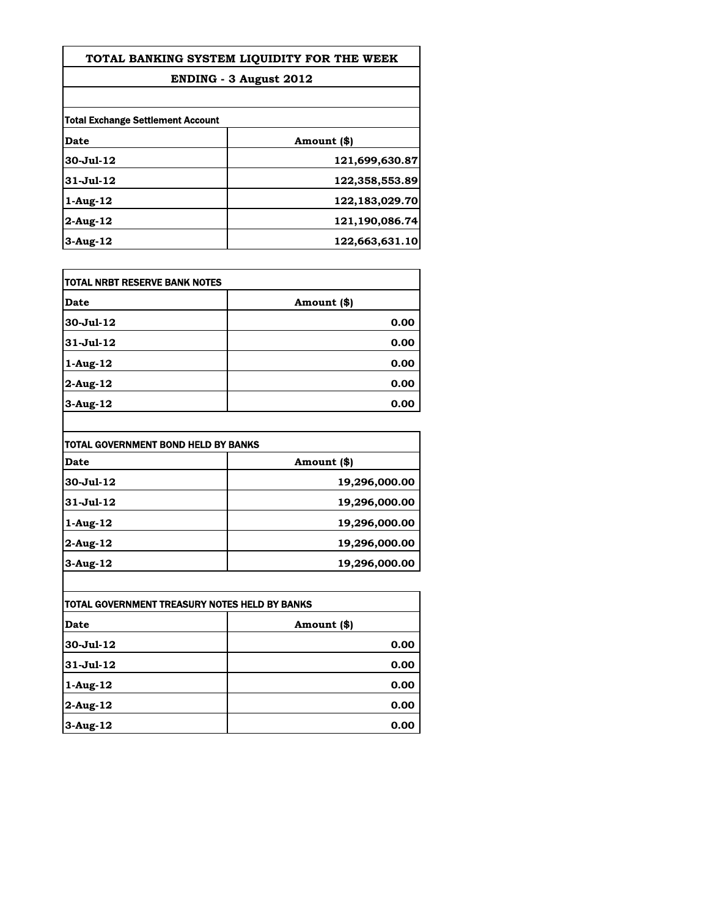| TOTAL BANKING SYSTEM LIQUIDITY FOR THE WEEK |  |
|---------------------------------------------|--|
|---------------------------------------------|--|

## **ENDING - 3 August 2012**

| <b>Total Exchange Settlement Account</b> |                |
|------------------------------------------|----------------|
| Date                                     | Amount (\$)    |
| 30-Jul-12                                | 121,699,630.87 |
| 31-Jul-12                                | 122,358,553.89 |
| 1-Aug-12                                 | 122,183,029.70 |
| 2-Aug-12                                 | 121,190,086.74 |
| $3-Aug-12$                               | 122,663,631.10 |

| itotal NRBT RESERVE BANK NOTES |             |
|--------------------------------|-------------|
| Date                           | Amount (\$) |
| 30-Jul-12                      | 0.00        |
| $31 - Jul - 12$                | 0.00        |
| $1-Aug-12$                     | 0.00        |
| $2$ -Aug-12                    | 0.00        |
| $3-Aug-12$                     | 0.00        |

| TOTAL GOVERNMENT BOND HELD BY BANKS |               |
|-------------------------------------|---------------|
| Date                                | Amount (\$)   |
| $30 - Jul - 12$                     | 19,296,000.00 |
| $31 - Jul - 12$                     | 19,296,000.00 |
| 1-Aug-12                            | 19,296,000.00 |
| 2-Aug-12                            | 19,296,000.00 |
| $3-Aug-12$                          | 19,296,000.00 |

| TOTAL GOVERNMENT TREASURY NOTES HELD BY BANKS |             |
|-----------------------------------------------|-------------|
| Date                                          | Amount (\$) |
| $30 - Jul - 12$                               | 0.00        |
| $31 - Jul - 12$                               | 0.00        |
| $1-Aug-12$                                    | 0.00        |
| $2$ -Aug-12                                   | 0.00        |
| $3-Aug-12$                                    | 0.00        |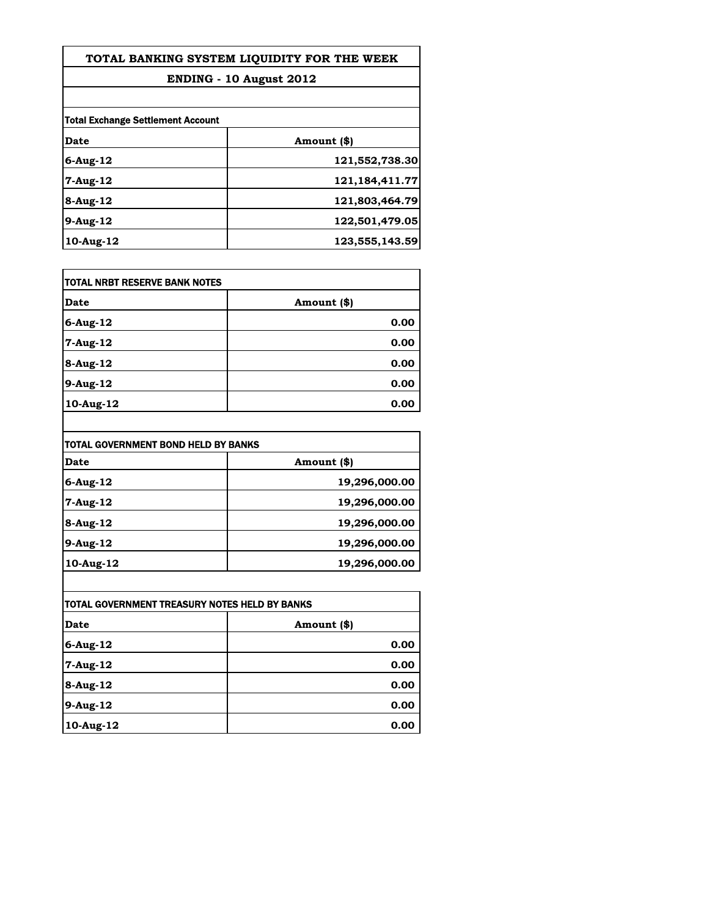## **TOTAL BANKING SYSTEM LIQUIDITY FOR THE WEEK**

## **ENDING - 10 August 2012**

| <b>Total Exchange Settlement Account</b> |                   |
|------------------------------------------|-------------------|
| Date                                     | Amount (\$)       |
| $6$ -Aug-12                              | 121,552,738.30    |
| $7 - Aug - 12$                           | 121, 184, 411. 77 |
| 8-Aug-12                                 | 121,803,464.79    |
| 9-Aug-12                                 | 122,501,479.05    |
| $10$ -Aug- $12$                          | 123,555,143.59    |

| TOTAL NRBT RESERVE BANK NOTES |             |
|-------------------------------|-------------|
| Date                          | Amount (\$) |
| $6$ -Aug-12                   | 0.00        |
| 7-Aug-12                      | 0.00        |
| 8-Aug-12                      | 0.00        |
| 9-Aug-12                      | 0.00        |
| $10$ -Aug-12                  | 0.00        |

| TOTAL GOVERNMENT BOND HELD BY BANKS |               |
|-------------------------------------|---------------|
| Date                                | Amount (\$)   |
| 6-Aug-12                            | 19,296,000.00 |
| 7-Aug-12                            | 19,296,000.00 |
| 8-Aug-12                            | 19,296,000.00 |
| 9-Aug-12                            | 19,296,000.00 |
| 10-Aug-12                           | 19,296,000.00 |

| TOTAL GOVERNMENT TREASURY NOTES HELD BY BANKS |             |
|-----------------------------------------------|-------------|
| Date                                          | Amount (\$) |
| $6$ -Aug-12                                   | 0.00        |
| 7-Aug-12                                      | 0.00        |
| 8-Aug-12                                      | 0.00        |
| 9-Aug-12                                      | 0.00        |
| 10-Aug-12                                     | 0.00        |

 $\overline{\phantom{a}}$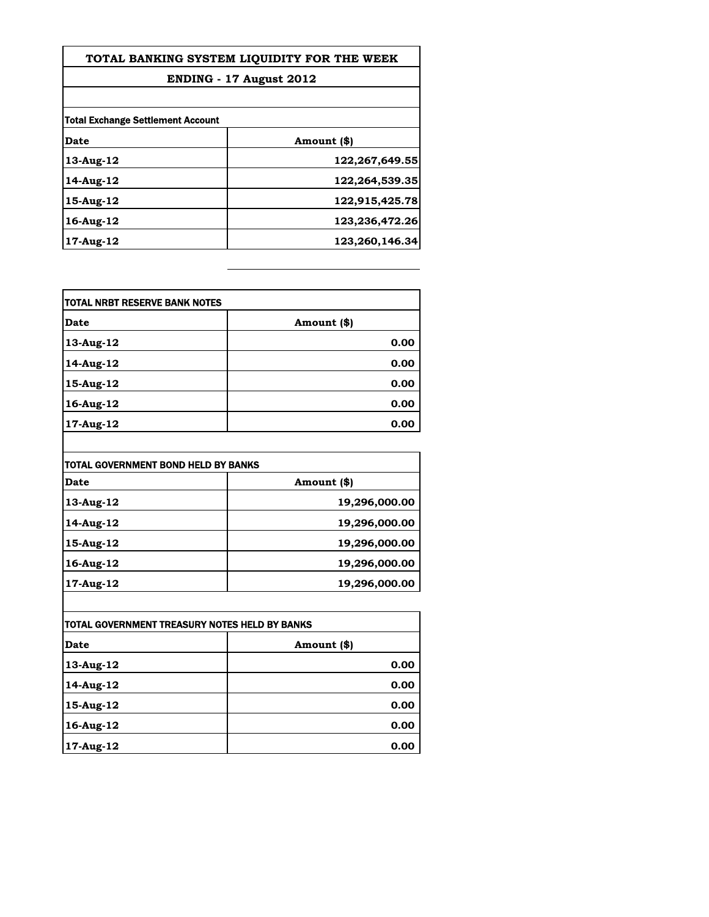| TOTAL BANKING SYSTEM LIOUIDITY FOR THE WEEK<br>ENDING - 17 August 2012 |  |
|------------------------------------------------------------------------|--|
|                                                                        |  |
|                                                                        |  |
| Amount (\$)                                                            |  |
| 122,267,649.55                                                         |  |
| 122,264,539.35                                                         |  |
| 122,915,425.78                                                         |  |
| 123,236,472.26                                                         |  |
| 123,260,146.34                                                         |  |
|                                                                        |  |

| TOTAL NRBT RESERVE BANK NOTES |             |
|-------------------------------|-------------|
| Date                          | Amount (\$) |
| 13-Aug-12                     | 0.00        |
| 14-Aug-12                     | 0.00        |
| 15-Aug-12                     | 0.00        |
| 16-Aug-12                     | 0.00        |
| 17-Aug-12                     | 0.00        |

| <b>TOTAL GOVERNMENT BOND HELD BY BANKS</b> |               |
|--------------------------------------------|---------------|
| Date                                       | Amount (\$)   |
| 13-Aug-12                                  | 19,296,000.00 |
| 14-Aug-12                                  | 19,296,000.00 |
| 15-Aug-12                                  | 19,296,000.00 |
| 16-Aug-12                                  | 19,296,000.00 |
| 17-Aug-12                                  | 19,296,000.00 |

| TOTAL GOVERNMENT TREASURY NOTES HELD BY BANKS |             |
|-----------------------------------------------|-------------|
| Date                                          | Amount (\$) |
| 13-Aug-12                                     | 0.00        |
| 14-Aug-12                                     | 0.00        |
| 15-Aug-12                                     | 0.00        |
| 16-Aug-12                                     | 0.00        |
| 17-Aug-12                                     | 0.00        |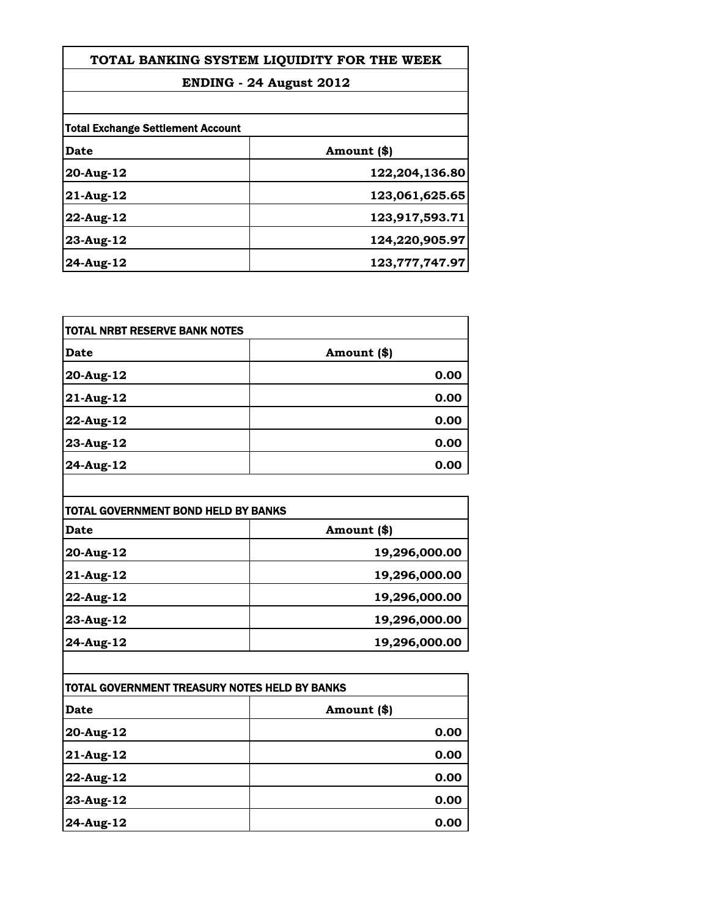| TOTAL BANKING SYSTEM LIQUIDITY FOR THE WEEK<br>ENDING - 24 August 2012 |                |  |
|------------------------------------------------------------------------|----------------|--|
|                                                                        |                |  |
| <b>Total Exchange Settlement Account</b>                               |                |  |
| <b>Date</b>                                                            | Amount (\$)    |  |
| 20-Aug-12                                                              | 122,204,136.80 |  |
| 21-Aug-12                                                              | 123,061,625.65 |  |
| 22-Aug-12                                                              | 123,917,593.71 |  |
| 23-Aug-12                                                              | 124,220,905.97 |  |
| 24-Aug-12                                                              | 123,777,747.97 |  |

| TOTAL NRBT RESERVE BANK NOTES |             |
|-------------------------------|-------------|
| <b>Date</b>                   | Amount (\$) |
| 20-Aug-12                     | 0.00        |
| 21-Aug-12                     | 0.00        |
| 22-Aug-12                     | 0.00        |
| 23-Aug-12                     | 0.00        |
| 24-Aug-12                     | 0.00        |

| TOTAL GOVERNMENT BOND HELD BY BANKS |               |
|-------------------------------------|---------------|
| <b>Date</b>                         | Amount (\$)   |
| 20-Aug-12                           | 19,296,000.00 |
| 21-Aug-12                           | 19,296,000.00 |
| 22-Aug-12                           | 19,296,000.00 |
| 23-Aug-12                           | 19,296,000.00 |
| 24-Aug-12                           | 19,296,000.00 |
|                                     |               |

| TOTAL GOVERNMENT TREASURY NOTES HELD BY BANKS |             |
|-----------------------------------------------|-------------|
| <b>Date</b>                                   | Amount (\$) |
| 20-Aug-12                                     | 0.00        |
| 21-Aug-12                                     | 0.00        |
| 22-Aug-12                                     | 0.00        |
| 23-Aug-12                                     | 0.00        |
| 24-Aug-12                                     | 0.00        |